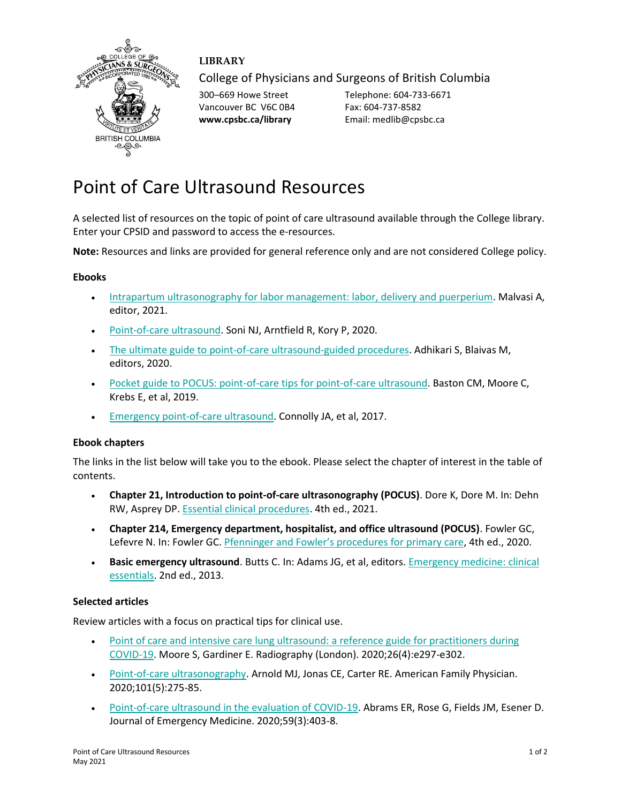

## **LIBRARY**

College of Physicians and Surgeons of British Columbia

Vancouver BC V6C 0B4 Fax: 604-737-8582

300–669 Howe Street Telephone: 604-733-6671 **www.cpsbc.ca/library** Email: medlib@cpsbc.ca

# Point of Care Ultrasound Resources

A selected list of resources on the topic of point of care ultrasound available through the College library. Enter your CPSID and password to access the e-resources.

**Note:** Resources and links are provided for general reference only and are not considered College policy.

#### **Ebooks**

- [Intrapartum ultrasonography for labor management: labor, delivery and puerperium.](https://tinyurl.com/2n49t2ke) Malvasi A, editor, 2021.
- [Point-of-care ultrasound.](https://www.cpsbc.ca/proxyauth/?url=https%3A%2F%2Fwww.clinicalkey.com%2Fdura%2Fbrowse%2FbookChapter%2F3-s2.0-C20160035301) Soni NJ, Arntfield R, Kory P, 2020.
- [The ultimate guide to point-of-care ultrasound-guided procedures.](https://tinyurl.com/4spvhsjc) Adhikari S, Blaivas M, editors, 2020.
- [Pocket guide to POCUS: point-of-care tips for point-of-care ultrasound.](https://www.cpsbc.ca/proxyauth/?url=https%3A%2F%2Faccessmedicine.mhmedical.com%2Fbook.aspx%3Fbookid%3D2544) Baston CM, Moore C, Krebs E, et al, 2019.
- [Emergency point-of-care ultrasound.](https://www.cpsbc.ca/proxyauth/?url=https%3A%2F%2Febookcentral.proquest.com%2Flib%2Fcpsbcca%2Fdetail.action%3FdocID%3D4908176) Connolly JA, et al, 2017.

#### **Ebook chapters**

The links in the list below will take you to the ebook. Please select the chapter of interest in the table of contents.

- **Chapter 21, Introduction to point-of-care ultrasonography (POCUS)**. Dore K, Dore M. In: Dehn RW, Asprey DP. [Essential clinical procedures.](https://www.cpsbc.ca/proxyauth/?url=https%3A%2F%2Fwww.clinicalkey.com%2Fdura%2Fbrowse%2FbookChapter%2F3-s2.0-C20170031014) 4th ed., 2021.
- **Chapter 214, Emergency department, hospitalist, and office ultrasound (POCUS)**. Fowler GC, Lefevre N. In: Fowler GC. Pfenninger and Fowler'[s procedures for primary care,](https://www.cpsbc.ca/proxyauth/?url=https%3A%2F%2Fwww.clinicalkey.com%2Fdura%2Fbrowse%2FbookChapter%2F3-s2.0-C20150067557) 4th ed., 2020.
- **Basic emergency ultrasound**. Butts C. In: Adams JG, et al, editors. [Emergency medicine: clinical](https://www.cpsbc.ca/proxyauth/?url=https%3A%2F%2Fwww.clinicalkey.com%2Fdura%2Fbrowse%2FbookChapter%2F3-s2.0-C20090339100)  [essentials.](https://www.cpsbc.ca/proxyauth/?url=https%3A%2F%2Fwww.clinicalkey.com%2Fdura%2Fbrowse%2FbookChapter%2F3-s2.0-C20090339100) 2nd ed., 2013.

#### **Selected articles**

Review articles with a focus on practical tips for clinical use.

- Point of care and intensive care lung ultrasound: a reference guide for practitioners during [COVID-19.](https://www.ncbi.nlm.nih.gov/pmc/articles/PMC7164867/pdf/main.pdf) Moore S, Gardiner E. Radiography (London). 2020;26(4):e297-e302.
- [Point-of-care ultrasonography.](https://www.aafp.org/afp/2020/0301/p275.html) Arnold MJ, Jonas CE, Carter RE. American Family Physician. 2020;101(5):275-85.
- [Point-of-care ultrasound in the evaluation of COVID-19.](https://www.ncbi.nlm.nih.gov/pmc/articles/PMC7290172/pdf/main.pdf) Abrams ER, Rose G, Fields JM, Esener D. Journal of Emergency Medicine. 2020;59(3):403-8.